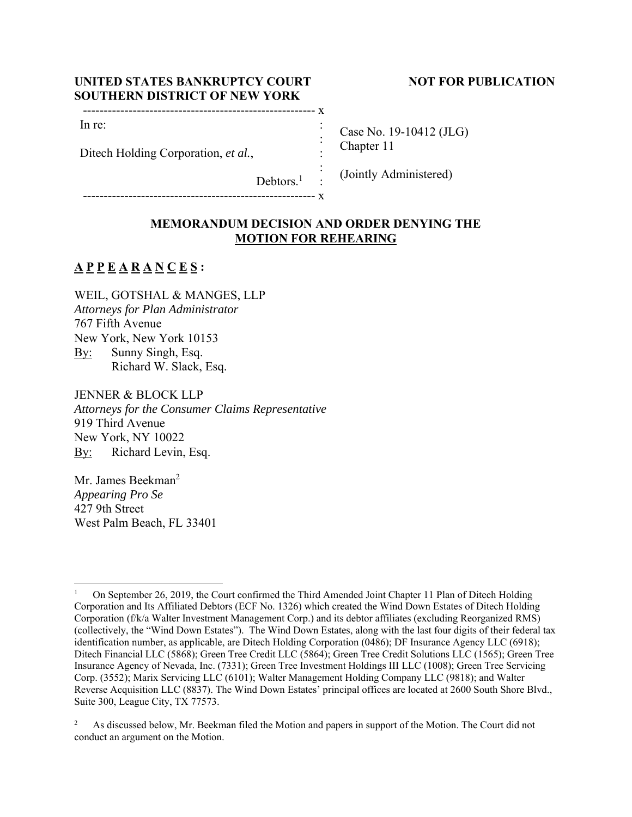## UNITED STATES BANKRUPTCY COURT NOT FOR PUBLICATION **SOUTHERN DISTRICT OF NEW YORK**

# -------------------------------------------------------- x :

-------------------------------------------------------- x

In re:

Ditech Holding Corporation, *et al.*,

Case No. 19-10412 (JLG) Chapter 11

(Jointly Administered)

# **MEMORANDUM DECISION AND ORDER DENYING THE MOTION FOR REHEARING**

 : : : :

Debtors.<sup>1</sup>

# **A P P E A R A N C E S :**

WEIL, GOTSHAL & MANGES, LLP *Attorneys for Plan Administrator*  767 Fifth Avenue New York, New York 10153 By: Sunny Singh, Esq. Richard W. Slack, Esq.

JENNER & BLOCK LLP *Attorneys for the Consumer Claims Representative*  919 Third Avenue New York, NY 10022 By: Richard Levin, Esq.

Mr. James Beekman<sup>2</sup> *Appearing Pro Se* 427 9th Street West Palm Beach, FL 33401

<sup>1</sup> On September 26, 2019, the Court confirmed the Third Amended Joint Chapter 11 Plan of Ditech Holding Corporation and Its Affiliated Debtors (ECF No. 1326) which created the Wind Down Estates of Ditech Holding Corporation (f/k/a Walter Investment Management Corp.) and its debtor affiliates (excluding Reorganized RMS) (collectively, the "Wind Down Estates"). The Wind Down Estates, along with the last four digits of their federal tax identification number, as applicable, are Ditech Holding Corporation (0486); DF Insurance Agency LLC (6918); Ditech Financial LLC (5868); Green Tree Credit LLC (5864); Green Tree Credit Solutions LLC (1565); Green Tree Insurance Agency of Nevada, Inc. (7331); Green Tree Investment Holdings III LLC (1008); Green Tree Servicing Corp. (3552); Marix Servicing LLC (6101); Walter Management Holding Company LLC (9818); and Walter Reverse Acquisition LLC (8837). The Wind Down Estates' principal offices are located at 2600 South Shore Blvd., Suite 300, League City, TX 77573.

<sup>2</sup> As discussed below, Mr. Beekman filed the Motion and papers in support of the Motion. The Court did not conduct an argument on the Motion.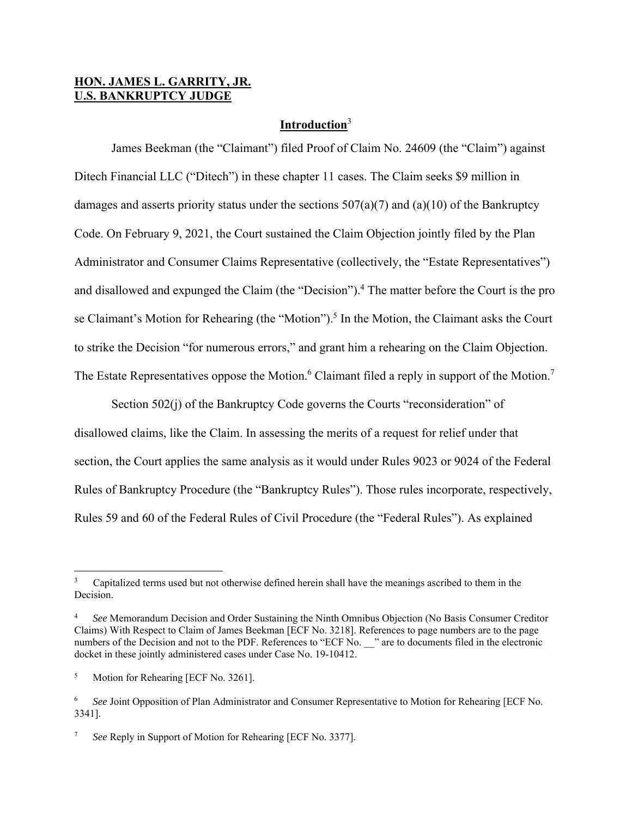## **HON. JAMES L. GARRITY, JR. U.S. BANKRUPTCY JUDGE**

## **Introduction**<sup>3</sup>

 James Beekman (the "Claimant") filed Proof of Claim No. 24609 (the "Claim") against Ditech Financial LLC ("Ditech") in these chapter 11 cases. The Claim seeks \$9 million in damages and asserts priority status under the sections  $507(a)(7)$  and  $(a)(10)$  of the Bankruptcy Code. On February 9, 2021, the Court sustained the Claim Objection jointly filed by the Plan Administrator and Consumer Claims Representative (collectively, the "Estate Representatives") and disallowed and expunged the Claim (the "Decision").<sup>4</sup> The matter before the Court is the pro se Claimant's Motion for Rehearing (the "Motion").<sup>5</sup> In the Motion, the Claimant asks the Court to strike the Decision "for numerous errors," and grant him a rehearing on the Claim Objection. The Estate Representatives oppose the Motion.<sup>6</sup> Claimant filed a reply in support of the Motion.<sup>7</sup>

Section 502(j) of the Bankruptcy Code governs the Courts "reconsideration" of disallowed claims, like the Claim. In assessing the merits of a request for relief under that section, the Court applies the same analysis as it would under Rules 9023 or 9024 of the Federal Rules of Bankruptcy Procedure (the "Bankruptcy Rules"). Those rules incorporate, respectively, Rules 59 and 60 of the Federal Rules of Civil Procedure (the "Federal Rules"). As explained

<sup>3</sup> Capitalized terms used but not otherwise defined herein shall have the meanings ascribed to them in the Decision.

<sup>4</sup> *See* Memorandum Decision and Order Sustaining the Ninth Omnibus Objection (No Basis Consumer Creditor Claims) With Respect to Claim of James Beekman [ECF No. 3218]. References to page numbers are to the page numbers of the Decision and not to the PDF. References to "ECF No. \_\_\_" are to documents filed in the electronic docket in these jointly administered cases under Case No. 19-10412.

<sup>5</sup> Motion for Rehearing [ECF No. 3261].

<sup>6</sup> *See* Joint Opposition of Plan Administrator and Consumer Representative to Motion for Rehearing [ECF No. 3341].

<sup>7</sup> *See* Reply in Support of Motion for Rehearing [ECF No. 3377].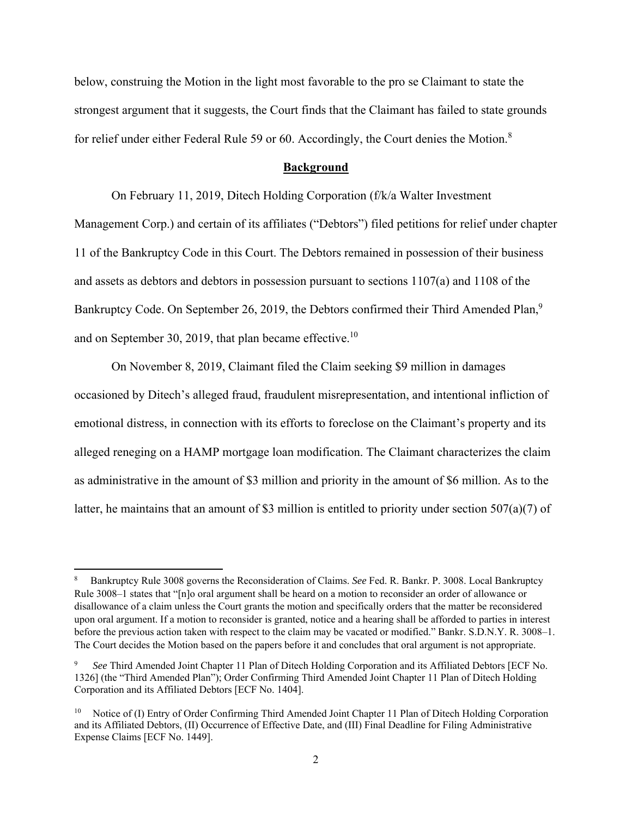below, construing the Motion in the light most favorable to the pro se Claimant to state the strongest argument that it suggests, the Court finds that the Claimant has failed to state grounds for relief under either Federal Rule 59 or 60. Accordingly, the Court denies the Motion.<sup>8</sup>

#### **Background**

 On February 11, 2019, Ditech Holding Corporation (f/k/a Walter Investment Management Corp.) and certain of its affiliates ("Debtors") filed petitions for relief under chapter 11 of the Bankruptcy Code in this Court. The Debtors remained in possession of their business and assets as debtors and debtors in possession pursuant to sections 1107(a) and 1108 of the Bankruptcy Code. On September 26, 2019, the Debtors confirmed their Third Amended Plan,<sup>9</sup> and on September 30, 2019, that plan became effective.<sup>10</sup>

 On November 8, 2019, Claimant filed the Claim seeking \$9 million in damages occasioned by Ditech's alleged fraud, fraudulent misrepresentation, and intentional infliction of emotional distress, in connection with its efforts to foreclose on the Claimant's property and its alleged reneging on a HAMP mortgage loan modification. The Claimant characterizes the claim as administrative in the amount of \$3 million and priority in the amount of \$6 million. As to the latter, he maintains that an amount of \$3 million is entitled to priority under section 507(a)(7) of

<sup>8</sup> Bankruptcy Rule 3008 governs the Reconsideration of Claims. *See* Fed. R. Bankr. P. 3008. Local Bankruptcy Rule 3008–1 states that "[n]o oral argument shall be heard on a motion to reconsider an order of allowance or disallowance of a claim unless the Court grants the motion and specifically orders that the matter be reconsidered upon oral argument. If a motion to reconsider is granted, notice and a hearing shall be afforded to parties in interest before the previous action taken with respect to the claim may be vacated or modified." Bankr. S.D.N.Y. R. 3008–1. The Court decides the Motion based on the papers before it and concludes that oral argument is not appropriate.

<sup>9</sup> *See* Third Amended Joint Chapter 11 Plan of Ditech Holding Corporation and its Affiliated Debtors [ECF No. 1326] (the "Third Amended Plan"); Order Confirming Third Amended Joint Chapter 11 Plan of Ditech Holding Corporation and its Affiliated Debtors [ECF No. 1404].

Notice of (I) Entry of Order Confirming Third Amended Joint Chapter 11 Plan of Ditech Holding Corporation and its Affiliated Debtors, (II) Occurrence of Effective Date, and (III) Final Deadline for Filing Administrative Expense Claims [ECF No. 1449].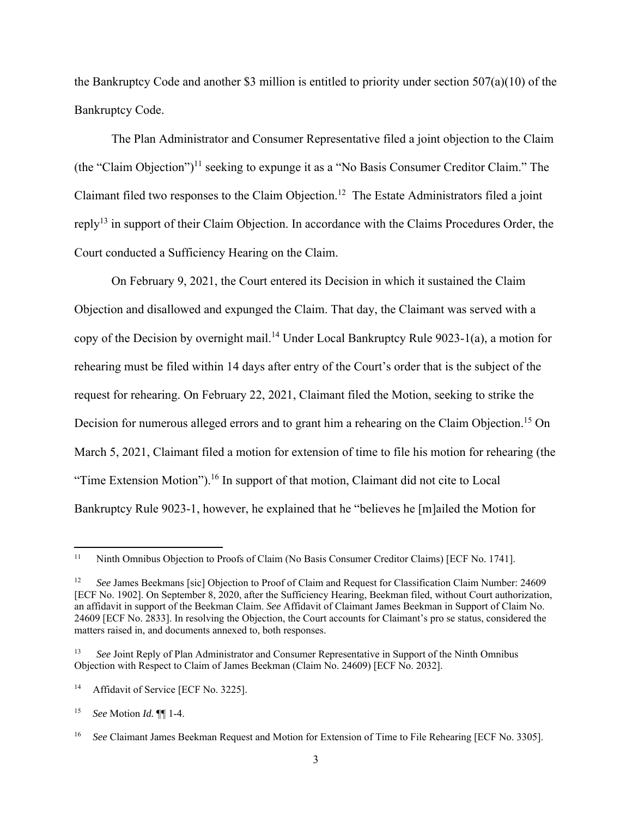the Bankruptcy Code and another \$3 million is entitled to priority under section 507(a)(10) of the Bankruptcy Code.

The Plan Administrator and Consumer Representative filed a joint objection to the Claim (the "Claim Objection")<sup>11</sup> seeking to expunge it as a "No Basis Consumer Creditor Claim." The Claimant filed two responses to the Claim Objection.12 The Estate Administrators filed a joint reply13 in support of their Claim Objection. In accordance with the Claims Procedures Order, the Court conducted a Sufficiency Hearing on the Claim.

On February 9, 2021, the Court entered its Decision in which it sustained the Claim Objection and disallowed and expunged the Claim. That day, the Claimant was served with a copy of the Decision by overnight mail.<sup>14</sup> Under Local Bankruptcy Rule 9023-1(a), a motion for rehearing must be filed within 14 days after entry of the Court's order that is the subject of the request for rehearing. On February 22, 2021, Claimant filed the Motion, seeking to strike the Decision for numerous alleged errors and to grant him a rehearing on the Claim Objection.<sup>15</sup> On March 5, 2021, Claimant filed a motion for extension of time to file his motion for rehearing (the "Time Extension Motion").<sup>16</sup> In support of that motion, Claimant did not cite to Local Bankruptcy Rule 9023-1, however, he explained that he "believes he [m]ailed the Motion for

<sup>&</sup>lt;sup>11</sup> Ninth Omnibus Objection to Proofs of Claim (No Basis Consumer Creditor Claims) [ECF No. 1741].

<sup>12</sup> *See* James Beekmans [sic] Objection to Proof of Claim and Request for Classification Claim Number: 24609 [ECF No. 1902]. On September 8, 2020, after the Sufficiency Hearing, Beekman filed, without Court authorization, an affidavit in support of the Beekman Claim. *See* Affidavit of Claimant James Beekman in Support of Claim No. 24609 [ECF No. 2833]. In resolving the Objection, the Court accounts for Claimant's pro se status, considered the matters raised in, and documents annexed to, both responses.

<sup>&</sup>lt;sup>13</sup> *See Joint Reply of Plan Administrator and Consumer Representative in Support of the Ninth Omnibus* Objection with Respect to Claim of James Beekman (Claim No. 24609) [ECF No. 2032].

<sup>&</sup>lt;sup>14</sup> Affidavit of Service [ECF No. 3225].

<sup>15</sup> *See* Motion *Id.* ¶¶ 1-4.

<sup>&</sup>lt;sup>16</sup> *See* Claimant James Beekman Request and Motion for Extension of Time to File Rehearing [ECF No. 3305].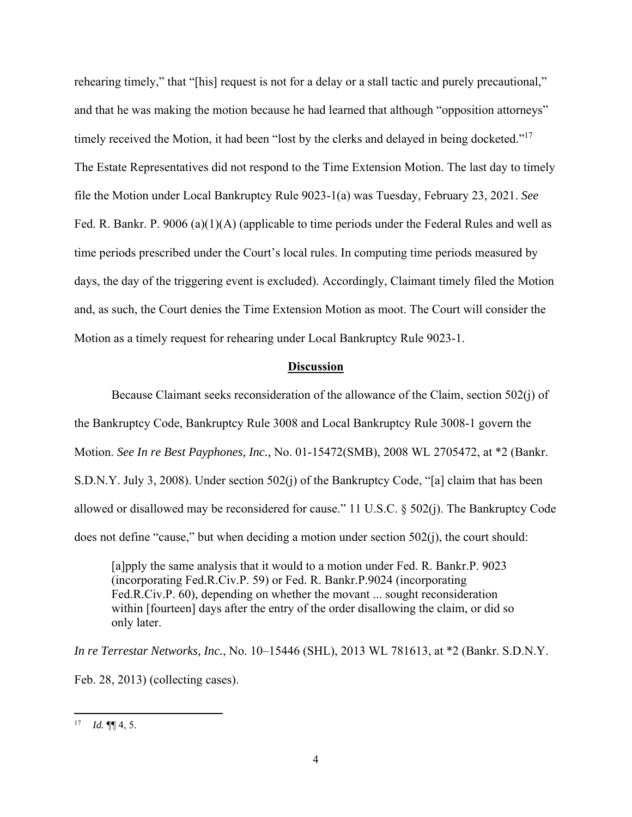rehearing timely," that "[his] request is not for a delay or a stall tactic and purely precautional," and that he was making the motion because he had learned that although "opposition attorneys" timely received the Motion, it had been "lost by the clerks and delayed in being docketed."<sup>17</sup> The Estate Representatives did not respond to the Time Extension Motion. The last day to timely file the Motion under Local Bankruptcy Rule 9023-1(a) was Tuesday, February 23, 2021. *See*  Fed. R. Bankr. P. 9006 (a)(1)(A) (applicable to time periods under the Federal Rules and well as time periods prescribed under the Court's local rules. In computing time periods measured by days, the day of the triggering event is excluded). Accordingly, Claimant timely filed the Motion and, as such, the Court denies the Time Extension Motion as moot. The Court will consider the Motion as a timely request for rehearing under Local Bankruptcy Rule 9023-1.

#### **Discussion**

 Because Claimant seeks reconsideration of the allowance of the Claim, section 502(j) of the Bankruptcy Code, Bankruptcy Rule 3008 and Local Bankruptcy Rule 3008-1 govern the Motion. *See In re Best Payphones, Inc.,* No. 01-15472(SMB), 2008 WL 2705472, at \*2 (Bankr. S.D.N.Y. July 3, 2008). Under section 502(j) of the Bankruptcy Code, "[a] claim that has been allowed or disallowed may be reconsidered for cause." 11 U.S.C. § 502(j). The Bankruptcy Code does not define "cause," but when deciding a motion under section 502(j), the court should:

[a]pply the same analysis that it would to a motion under Fed. R. Bankr.P. 9023 (incorporating Fed.R.Civ.P. 59) or Fed. R. Bankr.P.9024 (incorporating Fed.R.Civ.P. 60), depending on whether the movant ... sought reconsideration within [fourteen] days after the entry of the order disallowing the claim, or did so only later.

*In re Terrestar Networks, Inc.*, No. 10–15446 (SHL), 2013 WL 781613, at \*2 (Bankr. S.D.N.Y. Feb. 28, 2013) (collecting cases).

<sup>&</sup>lt;sup>17</sup> *Id.* ¶  $\llbracket 4, 5$ .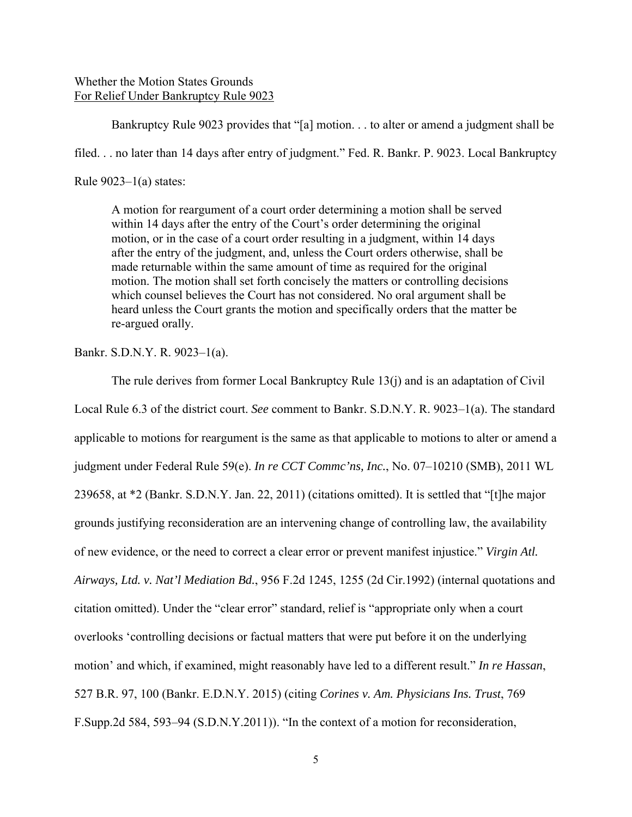## Whether the Motion States Grounds For Relief Under Bankruptcy Rule 9023

 Bankruptcy Rule 9023 provides that "[a] motion. . . to alter or amend a judgment shall be filed. . . no later than 14 days after entry of judgment." Fed. R. Bankr. P. 9023. Local Bankruptcy Rule  $9023-1(a)$  states:

A motion for reargument of a court order determining a motion shall be served within 14 days after the entry of the Court's order determining the original motion, or in the case of a court order resulting in a judgment, within 14 days after the entry of the judgment, and, unless the Court orders otherwise, shall be made returnable within the same amount of time as required for the original motion. The motion shall set forth concisely the matters or controlling decisions which counsel believes the Court has not considered. No oral argument shall be heard unless the Court grants the motion and specifically orders that the matter be re-argued orally.

Bankr. S.D.N.Y. R. 9023–1(a).

 The rule derives from former Local Bankruptcy Rule 13(j) and is an adaptation of Civil Local Rule 6.3 of the district court. *See* comment to Bankr. S.D.N.Y. R. 9023–1(a). The standard applicable to motions for reargument is the same as that applicable to motions to alter or amend a judgment under Federal Rule 59(e). *In re CCT Commc'ns, Inc.*, No. 07–10210 (SMB), 2011 WL 239658, at \*2 (Bankr. S.D.N.Y. Jan. 22, 2011) (citations omitted). It is settled that "[t]he major grounds justifying reconsideration are an intervening change of controlling law, the availability of new evidence, or the need to correct a clear error or prevent manifest injustice." *Virgin Atl. Airways, Ltd. v. Nat'l Mediation Bd.*, 956 F.2d 1245, 1255 (2d Cir.1992) (internal quotations and citation omitted). Under the "clear error" standard, relief is "appropriate only when a court overlooks 'controlling decisions or factual matters that were put before it on the underlying motion' and which, if examined, might reasonably have led to a different result." *In re Hassan*, 527 B.R. 97, 100 (Bankr. E.D.N.Y. 2015) (citing *Corines v. Am. Physicians Ins. Trust*, 769 F.Supp.2d 584, 593–94 (S.D.N.Y.2011)). "In the context of a motion for reconsideration,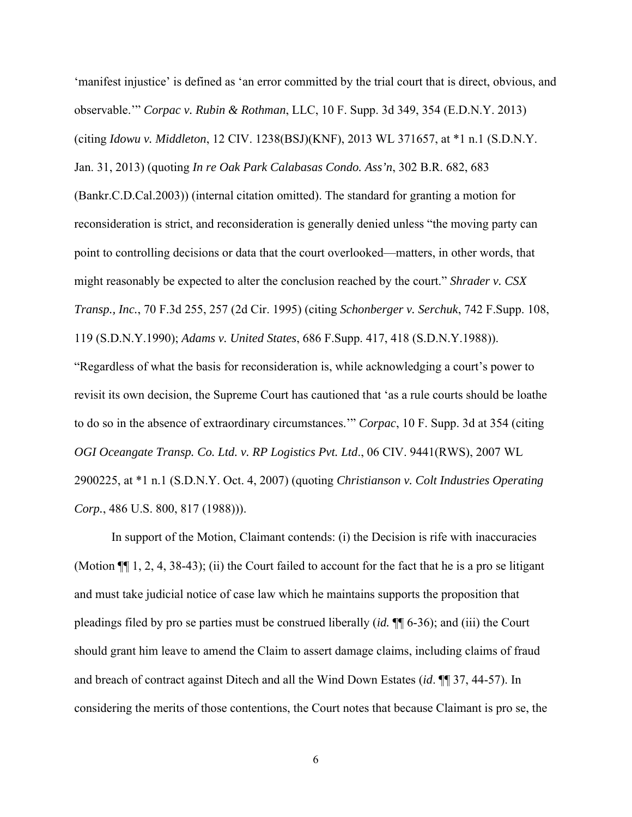'manifest injustice' is defined as 'an error committed by the trial court that is direct, obvious, and observable.'" *Corpac v. Rubin & Rothman*, LLC, 10 F. Supp. 3d 349, 354 (E.D.N.Y. 2013) (citing *Idowu v. Middleton*, 12 CIV. 1238(BSJ)(KNF), 2013 WL 371657, at \*1 n.1 (S.D.N.Y. Jan. 31, 2013) (quoting *In re Oak Park Calabasas Condo. Ass'n*, 302 B.R. 682, 683 (Bankr.C.D.Cal.2003)) (internal citation omitted). The standard for granting a motion for reconsideration is strict, and reconsideration is generally denied unless "the moving party can point to controlling decisions or data that the court overlooked—matters, in other words, that might reasonably be expected to alter the conclusion reached by the court." *Shrader v. CSX Transp., Inc.*, 70 F.3d 255, 257 (2d Cir. 1995) (citing *Schonberger v. Serchuk*, 742 F.Supp. 108, 119 (S.D.N.Y.1990); *Adams v. United States*, 686 F.Supp. 417, 418 (S.D.N.Y.1988)). "Regardless of what the basis for reconsideration is, while acknowledging a court's power to revisit its own decision, the Supreme Court has cautioned that 'as a rule courts should be loathe to do so in the absence of extraordinary circumstances.'" *Corpac*, 10 F. Supp. 3d at 354 (citing *OGI Oceangate Transp. Co. Ltd. v. RP Logistics Pvt. Ltd*., 06 CIV. 9441(RWS), 2007 WL 2900225, at \*1 n.1 (S.D.N.Y. Oct. 4, 2007) (quoting *Christianson v. Colt Industries Operating Corp.*, 486 U.S. 800, 817 (1988))).

 In support of the Motion, Claimant contends: (i) the Decision is rife with inaccuracies (Motion ¶¶ 1, 2, 4, 38-43); (ii) the Court failed to account for the fact that he is a pro se litigant and must take judicial notice of case law which he maintains supports the proposition that pleadings filed by pro se parties must be construed liberally (*id.* ¶¶ 6-36); and (iii) the Court should grant him leave to amend the Claim to assert damage claims, including claims of fraud and breach of contract against Ditech and all the Wind Down Estates (*id*. ¶¶ 37, 44-57). In considering the merits of those contentions, the Court notes that because Claimant is pro se, the

6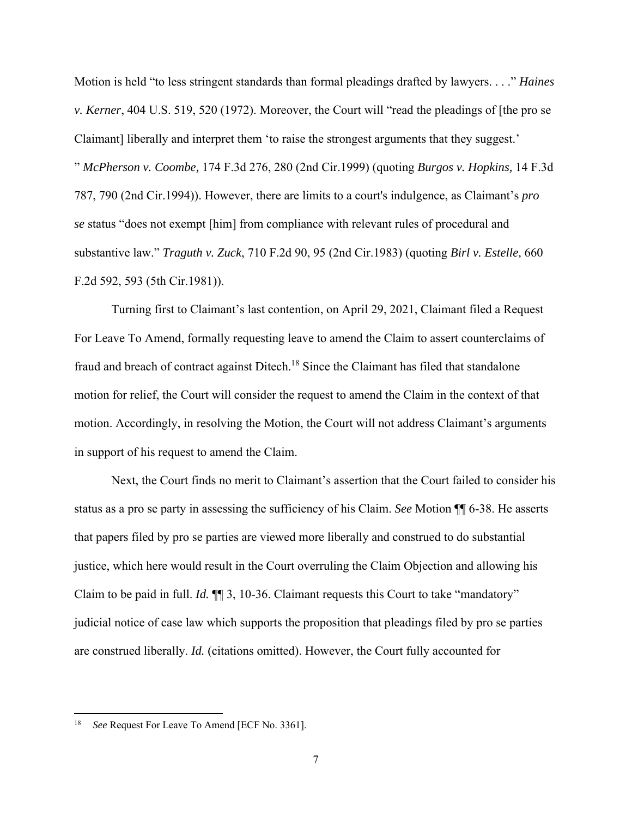Motion is held "to less stringent standards than formal pleadings drafted by lawyers. . . ." *Haines v. Kerner*, 404 U.S. 519, 520 (1972). Moreover, the Court will "read the pleadings of [the pro se Claimant] liberally and interpret them 'to raise the strongest arguments that they suggest.' " *McPherson v. Coombe,* 174 F.3d 276, 280 (2nd Cir.1999) (quoting *Burgos v. Hopkins,* 14 F.3d 787, 790 (2nd Cir.1994)). However, there are limits to a court's indulgence, as Claimant's *pro se* status "does not exempt [him] from compliance with relevant rules of procedural and substantive law." *Traguth v. Zuck*, 710 F.2d 90, 95 (2nd Cir.1983) (quoting *Birl v. Estelle,* 660 F.2d 592, 593 (5th Cir.1981)).

 Turning first to Claimant's last contention, on April 29, 2021, Claimant filed a Request For Leave To Amend, formally requesting leave to amend the Claim to assert counterclaims of fraud and breach of contract against Ditech.<sup>18</sup> Since the Claimant has filed that standalone motion for relief, the Court will consider the request to amend the Claim in the context of that motion. Accordingly, in resolving the Motion, the Court will not address Claimant's arguments in support of his request to amend the Claim.

Next, the Court finds no merit to Claimant's assertion that the Court failed to consider his status as a pro se party in assessing the sufficiency of his Claim. *See* Motion ¶¶ 6-38. He asserts that papers filed by pro se parties are viewed more liberally and construed to do substantial justice, which here would result in the Court overruling the Claim Objection and allowing his Claim to be paid in full. *Id.* ¶¶ 3, 10-36. Claimant requests this Court to take "mandatory" judicial notice of case law which supports the proposition that pleadings filed by pro se parties are construed liberally. *Id.* (citations omitted). However, the Court fully accounted for

<sup>18</sup> *See* Request For Leave To Amend [ECF No. 3361].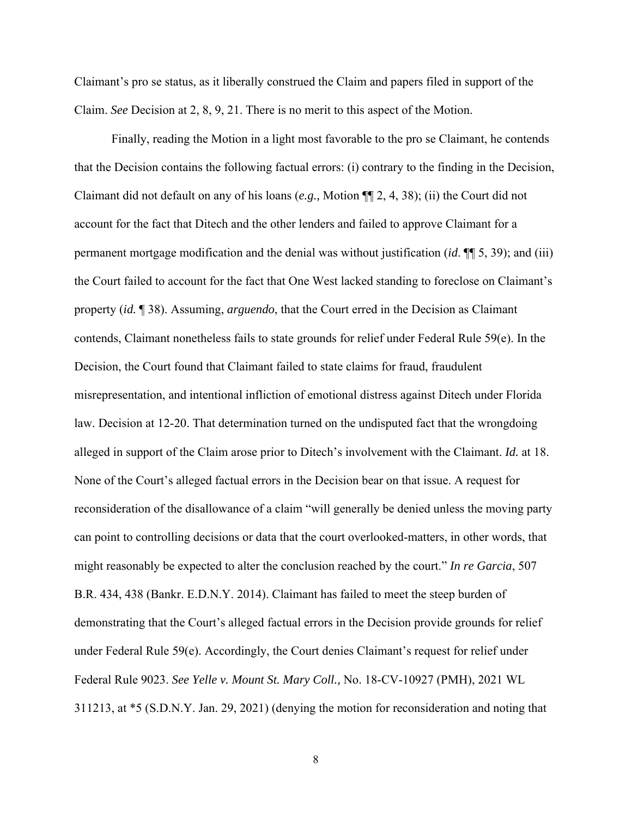Claimant's pro se status, as it liberally construed the Claim and papers filed in support of the Claim. *See* Decision at 2, 8, 9, 21. There is no merit to this aspect of the Motion.

 Finally, reading the Motion in a light most favorable to the pro se Claimant, he contends that the Decision contains the following factual errors: (i) contrary to the finding in the Decision, Claimant did not default on any of his loans (*e.g.,* Motion ¶¶ 2, 4, 38); (ii) the Court did not account for the fact that Ditech and the other lenders and failed to approve Claimant for a permanent mortgage modification and the denial was without justification (*id*. ¶¶ 5, 39); and (iii) the Court failed to account for the fact that One West lacked standing to foreclose on Claimant's property (*id.* ¶ 38). Assuming, *arguendo*, that the Court erred in the Decision as Claimant contends, Claimant nonetheless fails to state grounds for relief under Federal Rule 59(e). In the Decision, the Court found that Claimant failed to state claims for fraud, fraudulent misrepresentation, and intentional infliction of emotional distress against Ditech under Florida law. Decision at 12-20. That determination turned on the undisputed fact that the wrongdoing alleged in support of the Claim arose prior to Ditech's involvement with the Claimant. *Id.* at 18. None of the Court's alleged factual errors in the Decision bear on that issue. A request for reconsideration of the disallowance of a claim "will generally be denied unless the moving party can point to controlling decisions or data that the court overlooked-matters, in other words, that might reasonably be expected to alter the conclusion reached by the court." *In re Garcia*, 507 B.R. 434, 438 (Bankr. E.D.N.Y. 2014). Claimant has failed to meet the steep burden of demonstrating that the Court's alleged factual errors in the Decision provide grounds for relief under Federal Rule 59(e). Accordingly, the Court denies Claimant's request for relief under Federal Rule 9023. *See Yelle v. Mount St. Mary Coll.,* No. 18-CV-10927 (PMH), 2021 WL 311213, at \*5 (S.D.N.Y. Jan. 29, 2021) (denying the motion for reconsideration and noting that

8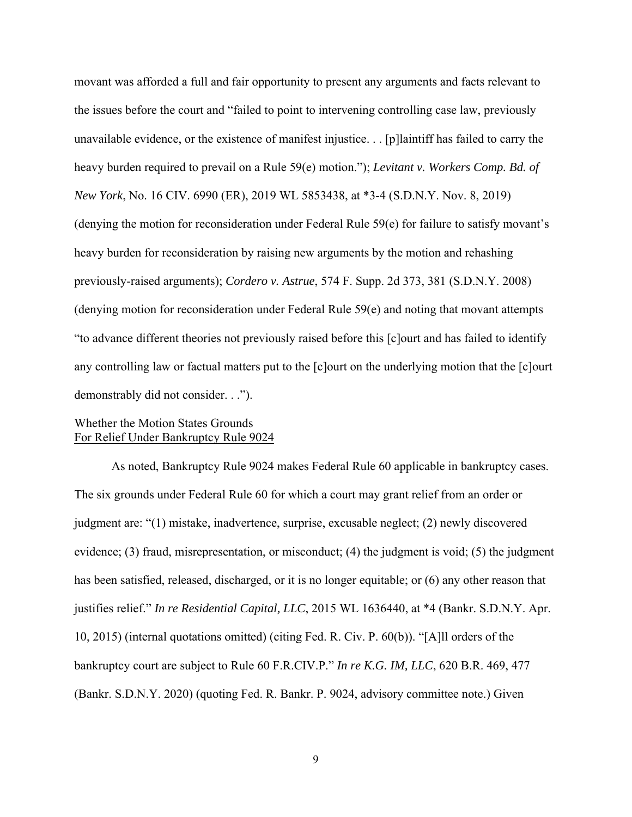movant was afforded a full and fair opportunity to present any arguments and facts relevant to the issues before the court and "failed to point to intervening controlling case law, previously unavailable evidence, or the existence of manifest injustice. . . [p]laintiff has failed to carry the heavy burden required to prevail on a Rule 59(e) motion."); *Levitant v. Workers Comp. Bd. of New York*, No. 16 CIV. 6990 (ER), 2019 WL 5853438, at \*3-4 (S.D.N.Y. Nov. 8, 2019) (denying the motion for reconsideration under Federal Rule 59(e) for failure to satisfy movant's heavy burden for reconsideration by raising new arguments by the motion and rehashing previously-raised arguments); *Cordero v. Astrue*, 574 F. Supp. 2d 373, 381 (S.D.N.Y. 2008) (denying motion for reconsideration under Federal Rule 59(e) and noting that movant attempts "to advance different theories not previously raised before this [c]ourt and has failed to identify any controlling law or factual matters put to the [c]ourt on the underlying motion that the [c]ourt demonstrably did not consider. . .").

## Whether the Motion States Grounds For Relief Under Bankruptcy Rule 9024

 As noted, Bankruptcy Rule 9024 makes Federal Rule 60 applicable in bankruptcy cases. The six grounds under Federal Rule 60 for which a court may grant relief from an order or judgment are: "(1) mistake, inadvertence, surprise, excusable neglect; (2) newly discovered evidence; (3) fraud, misrepresentation, or misconduct; (4) the judgment is void; (5) the judgment has been satisfied, released, discharged, or it is no longer equitable; or (6) any other reason that justifies relief." *In re Residential Capital, LLC*, 2015 WL 1636440, at \*4 (Bankr. S.D.N.Y. Apr. 10, 2015) (internal quotations omitted) (citing Fed. R. Civ. P. 60(b)). "[A]ll orders of the bankruptcy court are subject to Rule 60 F.R.CIV.P." *In re K.G. IM, LLC*, 620 B.R. 469, 477 (Bankr. S.D.N.Y. 2020) (quoting Fed. R. Bankr. P. 9024, advisory committee note.) Given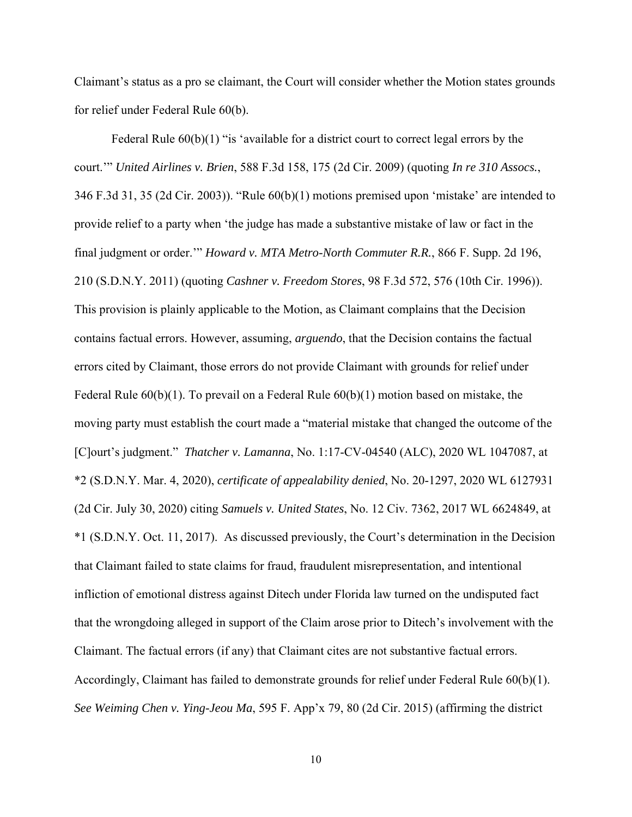Claimant's status as a pro se claimant, the Court will consider whether the Motion states grounds for relief under Federal Rule 60(b).

Federal Rule  $60(b)(1)$  "is 'available for a district court to correct legal errors by the court.'" *United Airlines v. Brien*, 588 F.3d 158, 175 (2d Cir. 2009) (quoting *In re 310 Assocs.*, 346 F.3d 31, 35 (2d Cir. 2003)). "Rule 60(b)(1) motions premised upon 'mistake' are intended to provide relief to a party when 'the judge has made a substantive mistake of law or fact in the final judgment or order.'" *Howard v. MTA Metro-North Commuter R.R.*, 866 F. Supp. 2d 196, 210 (S.D.N.Y. 2011) (quoting *Cashner v. Freedom Stores*, 98 F.3d 572, 576 (10th Cir. 1996)). This provision is plainly applicable to the Motion, as Claimant complains that the Decision contains factual errors. However, assuming, *arguendo*, that the Decision contains the factual errors cited by Claimant, those errors do not provide Claimant with grounds for relief under Federal Rule 60(b)(1). To prevail on a Federal Rule 60(b)(1) motion based on mistake, the moving party must establish the court made a "material mistake that changed the outcome of the [C]ourt's judgment." *Thatcher v. Lamanna*, No. 1:17-CV-04540 (ALC), 2020 WL 1047087, at \*2 (S.D.N.Y. Mar. 4, 2020), *certificate of appealability denied*, No. 20-1297, 2020 WL 6127931 (2d Cir. July 30, 2020) citing *Samuels v. United States*, No. 12 Civ. 7362, 2017 WL 6624849, at \*1 (S.D.N.Y. Oct. 11, 2017). As discussed previously, the Court's determination in the Decision that Claimant failed to state claims for fraud, fraudulent misrepresentation, and intentional infliction of emotional distress against Ditech under Florida law turned on the undisputed fact that the wrongdoing alleged in support of the Claim arose prior to Ditech's involvement with the Claimant. The factual errors (if any) that Claimant cites are not substantive factual errors. Accordingly, Claimant has failed to demonstrate grounds for relief under Federal Rule 60(b)(1). *See Weiming Chen v. Ying-Jeou Ma*, 595 F. App'x 79, 80 (2d Cir. 2015) (affirming the district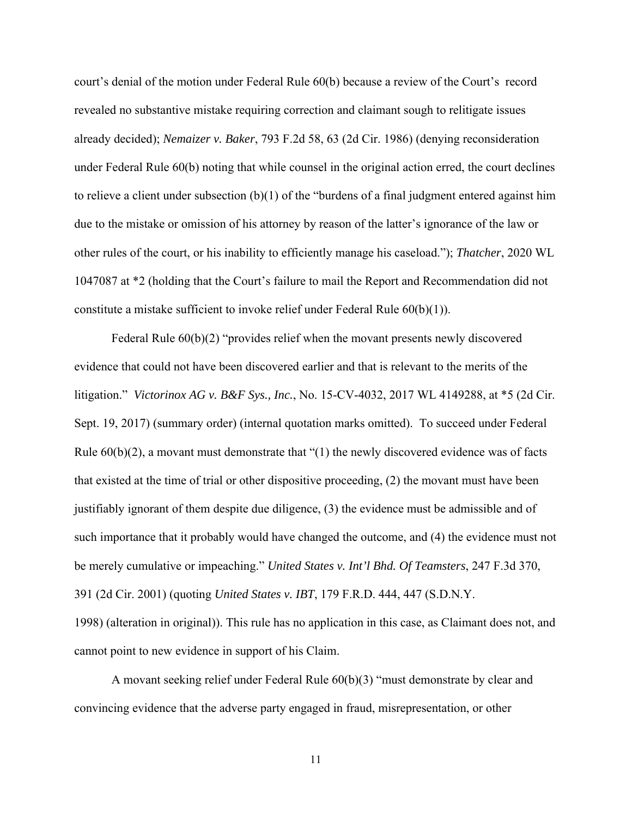court's denial of the motion under Federal Rule 60(b) because a review of the Court's record revealed no substantive mistake requiring correction and claimant sough to relitigate issues already decided); *Nemaizer v. Baker*, 793 F.2d 58, 63 (2d Cir. 1986) (denying reconsideration under Federal Rule 60(b) noting that while counsel in the original action erred, the court declines to relieve a client under subsection  $(b)(1)$  of the "burdens of a final judgment entered against him due to the mistake or omission of his attorney by reason of the latter's ignorance of the law or other rules of the court, or his inability to efficiently manage his caseload."); *Thatcher*, 2020 WL 1047087 at \*2 (holding that the Court's failure to mail the Report and Recommendation did not constitute a mistake sufficient to invoke relief under Federal Rule 60(b)(1)).

 Federal Rule 60(b)(2) "provides relief when the movant presents newly discovered evidence that could not have been discovered earlier and that is relevant to the merits of the litigation." *Victorinox AG v. B&F Sys., Inc.*, No. 15-CV-4032, 2017 WL 4149288, at \*5 (2d Cir. Sept. 19, 2017) (summary order) (internal quotation marks omitted). To succeed under Federal Rule  $60(b)(2)$ , a movant must demonstrate that "(1) the newly discovered evidence was of facts that existed at the time of trial or other dispositive proceeding, (2) the movant must have been justifiably ignorant of them despite due diligence, (3) the evidence must be admissible and of such importance that it probably would have changed the outcome, and (4) the evidence must not be merely cumulative or impeaching." *United States v. Int'l Bhd. Of Teamsters*, 247 F.3d 370, 391 (2d Cir. 2001) (quoting *United States v. IBT*, 179 F.R.D. 444, 447 (S.D.N.Y. 1998) (alteration in original)). This rule has no application in this case, as Claimant does not, and cannot point to new evidence in support of his Claim.

 A movant seeking relief under Federal Rule 60(b)(3) "must demonstrate by clear and convincing evidence that the adverse party engaged in fraud, misrepresentation, or other

11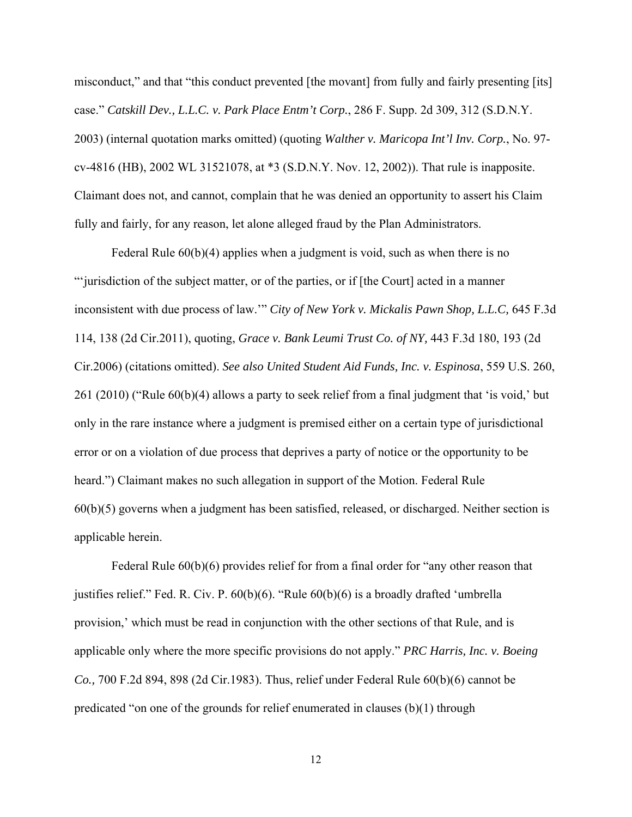misconduct," and that "this conduct prevented [the movant] from fully and fairly presenting [its] case." *Catskill Dev., L.L.C. v. Park Place Entm't Corp.*, 286 F. Supp. 2d 309, 312 (S.D.N.Y. 2003) (internal quotation marks omitted) (quoting *Walther v. Maricopa Int'l Inv. Corp.*, No. 97 cv-4816 (HB), 2002 WL 31521078, at \*3 (S.D.N.Y. Nov. 12, 2002)). That rule is inapposite. Claimant does not, and cannot, complain that he was denied an opportunity to assert his Claim fully and fairly, for any reason, let alone alleged fraud by the Plan Administrators.

Federal Rule  $60(b)(4)$  applies when a judgment is void, such as when there is no "'jurisdiction of the subject matter, or of the parties, or if [the Court] acted in a manner inconsistent with due process of law.'" *City of New York v. Mickalis Pawn Shop, L.L.C,* 645 F.3d 114, 138 (2d Cir.2011), quoting, *Grace v. Bank Leumi Trust Co. of NY,* 443 F.3d 180, 193 (2d Cir.2006) (citations omitted). *See also United Student Aid Funds, Inc. v. Espinosa*, 559 U.S. 260, 261 (2010) ("Rule 60(b)(4) allows a party to seek relief from a final judgment that 'is void,' but only in the rare instance where a judgment is premised either on a certain type of jurisdictional error or on a violation of due process that deprives a party of notice or the opportunity to be heard.") Claimant makes no such allegation in support of the Motion. Federal Rule 60(b)(5) governs when a judgment has been satisfied, released, or discharged. Neither section is applicable herein.

Federal Rule 60(b)(6) provides relief for from a final order for "any other reason that justifies relief." Fed. R. Civ. P. 60(b)(6). "Rule 60(b)(6) is a broadly drafted 'umbrella provision,' which must be read in conjunction with the other sections of that Rule, and is applicable only where the more specific provisions do not apply." *PRC Harris, Inc. v. Boeing Co.,* 700 F.2d 894, 898 (2d Cir.1983). Thus, relief under Federal Rule 60(b)(6) cannot be predicated "on one of the grounds for relief enumerated in clauses (b)(1) through